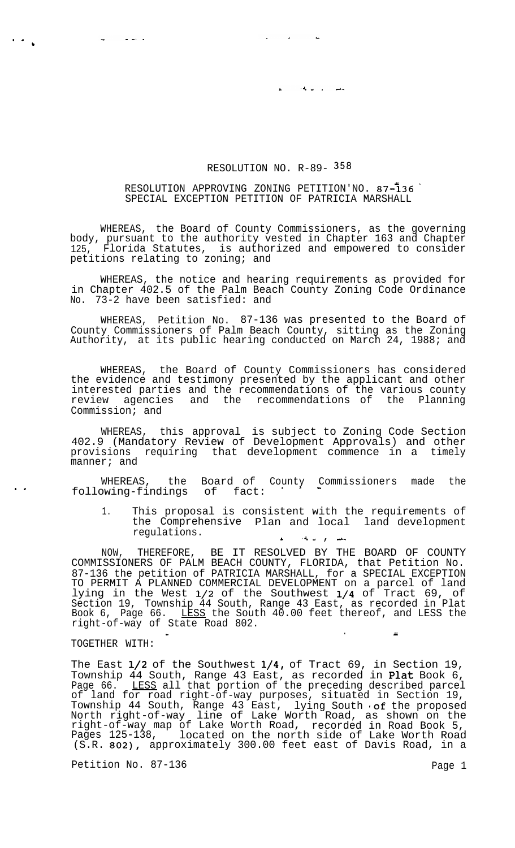## RESOLUTION NO. R-89- 358

سلسان والوالة

## RESOLUTION APPROVING ZONING PETITION'NO. 87-136 SPECIAL EXCEPTION PETITION OF PATRICIA MARSHALL

WHEREAS, the Board of County Commissioners, as the governing body, pursuant to the authority vested in Chapter 163 and Chapter 125, Florida Statutes, is authorized and empowered to consider petitions relating to zoning; and

WHEREAS, the notice and hearing requirements as provided for in Chapter 402.5 of the Palm Beach County Zoning Code Ordinance No. 73-2 have been satisfied: and

WHEREAS, Petition No. 87-136 was presented to the Board of County Commissioners of Palm Beach County, sitting as the Zoning Authority, at its public hearing conducted on March 24, 1988; and

WHEREAS, the Board of County Commissioners has considered the evidence and testimony presented by the applicant and other interested parties and the recommendations of the various county review agencies and the recommendations of the Planning Commission; and

WHEREAS, this approval is subject to Zoning Code Section 402.9 (Mandatory Review of Development Approvals) and other provisions requiring that development commence in a timely manner; and

WHEREAS, the Board of County Commissioners made the following-findings of fact:  $\cdot$   $\cdot$   $\cdot$ 

1. This proposal is consistent with the requirements of the Comprehensive Plan and local land development regulations.

NOW, THEREFORE, BE IT RESOLVED BY THE BOARD OF COUNTY COMMISSIONERS OF PALM BEACH COUNTY, FLORIDA, that Petition No. 87-136 the petition of PATRICIA MARSHALL, for a SPECIAL EXCEPTION TO PERMIT A PLANNED COMMERCIAL DEVELOPMENT on a parcel of land lying in the West l/2 of the Southwest l/4 of Tract 69, of Section 19, Township 44 South, Range 43 East, as recorded in Plat Book 6, Page 66. <u>LESS</u> the South 40.00 feet thereof, and LESS the right-of-way of State Road 802.

 $\sim$  . You have the set of the set of the set of the set of the set of the set of the set of the set of the set of the set of the set of the set of the set of the set of the set of the set of the set of the set of the set

## TOGETHER WITH:

. . b بالمصاب الها

 $\ddot{\phantom{a}}$ 

The East  $1/2$  of the Southwest  $1/4$ , of Tract 69, in Section 19, Township 44 South, Range 43 East, as recorded in **Plat** Book 6, Page 66. LESS all that portion of the preceding described parcel of land for road right-of-way purposes, situated in Section 19, Township 44 South, Range 43 East, lying South of the proposed North right-of-way line of Lake Worth Road, as shown on the right-of-way map of Lake Worth Road, recorded in Road Book 5, Pages 125-138, located on the north side of Lake Worth Road (S.R. 802), approximately 300.00 feet east of Davis Road, in a

Petition No. 87-136 Page 1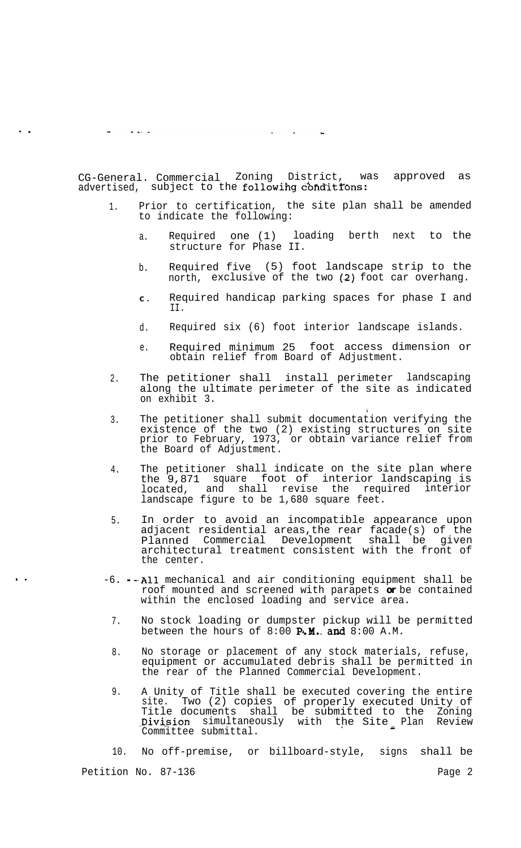$\frac{1}{2}$  and  $\frac{1}{2}$  and  $\frac{1}{2}$  $\mathcal{A}^{\mathcal{A}}$  , and  $\mathcal{A}^{\mathcal{A}}$  , and

. .

. .

CG-General. Commercial Zoning District, was approved as advertised, subject to the following conditions:

- 1. Prior to certification, the site plan shall be amended to indicate the following:
	- a. Required one (1) loading berth next to the structure for Phase II.
	- b. Required five (5) foot landscape strip to the north, exclusive of the two (2) foot car overhang.
	- **C .** Required handicap parking spaces for phase I and II.
	- d. Required six (6) foot interior landscape islands.
	- e. Required minimum 25 foot access dimension or obtain relief from Board of Adjustment.
- 2. The petitioner shall install perimeter landscaping along the ultimate perimeter of the site as indicated on exhibit 3.
- 3. The petitioner shall submit documentation verifying the existence of the two (2) existing structures on site prior to February, 1973, or obtain variance relief from the Board of Adjustment.
- 4. The petitioner shall indicate on the site plan where the 9,871 square foot of interior landscaping is located, and shall revise the required interior landscape figure to be 1,680 square feet.
- 5. In order to avoid an incompatible appearance upon adjacent residential areas,the rear facade(s) of the Planned Commercial Development shall be given architectural treatment consistent with the front of the center.
- -6. .A11 mechanical and air conditioning equipment shall be roof mounted and screened with parapets *or* be contained within the enclosed loading and service area.
	- 7. No stock loading or dumpster pickup will be permitted between the hours of  $8:00$  **P.M. and**  $8:00$  A.M.
	- 8. No storage or placement of any stock materials, refuse, equipment or accumulated debris shall be permitted in the rear of the Planned Commercial Development.
	- 9. A Unity of Title shall be executed covering the entire site. Two (2) copies of properly executed Unity of Title documents shall be submitted to the Zoning Division simultaneously with the Site Plan Review<br>Committee submittal.

10. No off-premise, or billboard-style, signs shall be Petition No. 87-136 Page 2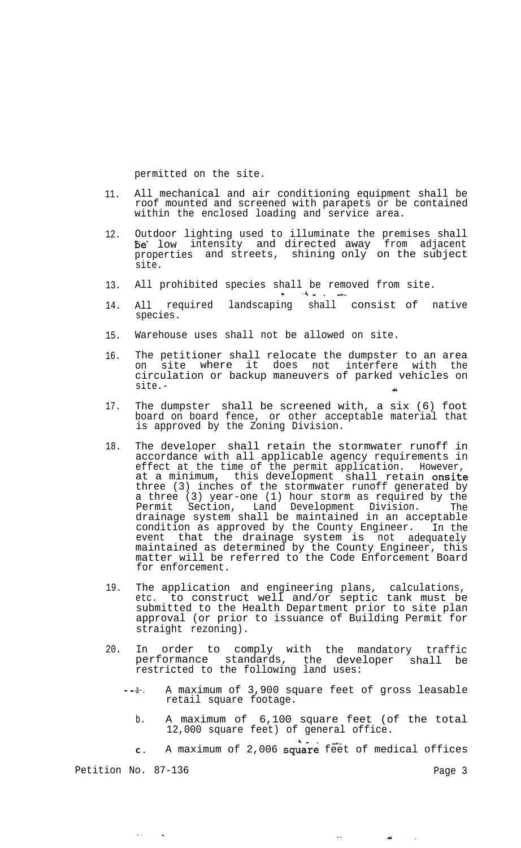permitted on the site.

- 11. All mechanical and air conditioning equipment shall be roof mounted and screened with parapets or be contained within the enclosed loading and service area.
- 12. Outdoor lighting used to illuminate the premises shall be' low intensity and directed away from adjacent properties and streets, shining only on the subject site.
- 13. All prohibited species shall be removed from site.  $4.4\,$  km  $^{-1}$
- 14. All required landscaping shall consist of native species.
- 15. Warehouse uses shall not be allowed on site.
- 16. The petitioner shall relocate the dumpster to an area on site where it does not interfere with the circulation or backup maneuvers of parked vehicles on  $\mathsf{site}$ .  $\blacksquare$
- 17. The dumpster shall be screened with, a six (6) foot board on board fence, or other acceptable material that is approved by the Zoning Division.
- 18. The developer shall retain the stormwater runoff in accordance with all applicable agency requirements in effect at the time of the permit application. However, at a minimum, this development shall retain **onsite** three (3) inches of the stormwater runoff generated by a three (3) year-one (1) hour storm as required by the Permit Section, Land Development Division. The drainage system shall be maintained in an acceptable condition as approved by the County Engineer. In the event that the drainage system is not adequately maintained as determined by the County Engineer, this matter will be referred to the Code Enforcement Board for enforcement.
- 19. The application and engineering plans, calculations, etc. to construct well and/or septic tank must be submitted to the Health Department prior to site plan approval (or prior to issuance of Building Permit for straight rezoning).
- 20. In order to comply with the mandatory traffic performance standards, the developer shall be restricted to the following land uses:
	- -. a-. A maximum of 3,900 square feet of gross leasable retail square footage.
		- b. A maximum of 6,100 square feet (of the total 12,000 square feet) of general office.

c. A maximum of 2,006 square feet of medical offices

 $\dot{\mathcal{L}}$  .

 $\mu$ 

 $\sim$ 

Petition No. 87-136 Page 3

 $\mathcal{L}(\mathcal{L})$  and  $\mathcal{L}(\mathcal{L})$